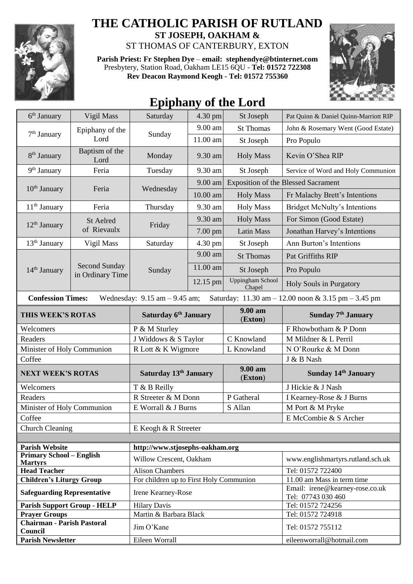

## **THE CATHOLIC PARISH OF RUTLAND**

**ST JOSEPH, OAKHAM &**  ST THOMAS OF CANTERBURY, EXTON

**Parish Priest: Fr Stephen Dye** – **[email: stephendye@btinternet.com](mailto:email:%20%20stephendye@btinternet.com)** Presbytery, Station Road, Oakham LE15 6QU - **Tel: 01572 722308 Rev Deacon Raymond Keogh - Tel: 01572 755360**



## **Epiphany of the Lord**

| 6 <sup>th</sup> January                                                                                              | Vigil Mass                        | Saturday                                | 4.30 pm                         | St Joseph                         | Pat Quinn & Daniel Quinn-Marriott RIP                 |  |  |
|----------------------------------------------------------------------------------------------------------------------|-----------------------------------|-----------------------------------------|---------------------------------|-----------------------------------|-------------------------------------------------------|--|--|
| $7th$ January                                                                                                        | Epiphany of the<br>Lord           | Sunday                                  | 9.00 am                         | <b>St Thomas</b>                  | John & Rosemary Went (Good Estate)                    |  |  |
|                                                                                                                      |                                   |                                         | 11.00 am                        | St Joseph                         | Pro Populo                                            |  |  |
| 8 <sup>th</sup> January                                                                                              | Baptism of the<br>Lord            | Monday                                  | 9.30 am                         | <b>Holy Mass</b>                  | Kevin O'Shea RIP                                      |  |  |
| 9 <sup>th</sup> January                                                                                              | Feria                             | Tuesday                                 | 9.30 am                         | St Joseph                         | Service of Word and Holy Communion                    |  |  |
| $10th$ January                                                                                                       | Feria                             | Wednesday                               | 9.00 am                         |                                   | <b>Exposition of the Blessed Sacrament</b>            |  |  |
|                                                                                                                      |                                   |                                         | 10.00 am                        | <b>Holy Mass</b>                  | Fr Malachy Brett's Intentions                         |  |  |
| $11th$ January                                                                                                       | Feria                             | Thursday                                | 9.30 am                         | <b>Holy Mass</b>                  | <b>Bridget McNulty's Intentions</b>                   |  |  |
| 12 <sup>th</sup> January                                                                                             | <b>St Aelred</b><br>of Rievaulx   | Friday                                  | 9.30 am                         | <b>Holy Mass</b>                  | For Simon (Good Estate)                               |  |  |
|                                                                                                                      |                                   |                                         | 7.00 pm                         | <b>Latin Mass</b>                 | Jonathan Harvey's Intentions                          |  |  |
| $13th$ January                                                                                                       | Vigil Mass                        | Saturday                                | 4.30 pm                         | St Joseph                         | Ann Burton's Intentions                               |  |  |
| 14 <sup>th</sup> January                                                                                             | Second Sunday<br>in Ordinary Time | Sunday                                  | 9.00 am                         | <b>St Thomas</b>                  | Pat Griffiths RIP                                     |  |  |
|                                                                                                                      |                                   |                                         | 11.00 am                        | St Joseph                         | Pro Populo                                            |  |  |
|                                                                                                                      |                                   |                                         | 12.15 pm                        | <b>Uppingham School</b><br>Chapel | Holy Souls in Purgatory                               |  |  |
| <b>Confession Times:</b><br>Saturday: 11.30 am - 12.00 noon & 3.15 pm - 3.45 pm<br>Wednesday: $9.15$ am $- 9.45$ am; |                                   |                                         |                                 |                                   |                                                       |  |  |
| THIS WEEK'S ROTAS                                                                                                    |                                   | Saturday 6 <sup>th</sup> January        |                                 | 9.00 am<br>(Exton)                | Sunday 7 <sup>th</sup> January                        |  |  |
| Welcomers                                                                                                            |                                   | P & M Sturley                           |                                 |                                   | F Rhowbotham & P Donn                                 |  |  |
| Readers                                                                                                              |                                   | J Widdows & S Taylor                    |                                 | C Knowland                        | M Mildner & L Perril                                  |  |  |
| Minister of Holy Communion                                                                                           |                                   | R Lott & K Wigmore                      |                                 | L Knowland                        | N O'Rourke & M Donn                                   |  |  |
| Coffee                                                                                                               |                                   |                                         |                                 |                                   | J & B Nash                                            |  |  |
| <b>NEXT WEEK'S ROTAS</b>                                                                                             |                                   | Saturday 13th January                   |                                 | 9.00 am<br>(Exton)                | <b>Sunday 14th January</b>                            |  |  |
| Welcomers                                                                                                            |                                   | T & B Reilly                            |                                 |                                   | J Hickie & J Nash                                     |  |  |
| Readers                                                                                                              |                                   | R Streeter & M Donn                     |                                 | P Gatheral                        | I Kearney-Rose & J Burns                              |  |  |
| Minister of Holy Communion                                                                                           |                                   | E Worrall & J Burns<br>S Allan          |                                 |                                   | M Port & M Pryke                                      |  |  |
| Coffee                                                                                                               |                                   |                                         |                                 |                                   | E McCombie & S Archer                                 |  |  |
| <b>Church Cleaning</b>                                                                                               |                                   | E Keogh & R Streeter                    |                                 |                                   |                                                       |  |  |
|                                                                                                                      |                                   |                                         |                                 |                                   |                                                       |  |  |
| <b>Parish Website</b>                                                                                                |                                   |                                         | http://www.stjosephs-oakham.org |                                   |                                                       |  |  |
| <b>Primary School - English</b><br><b>Martyrs</b>                                                                    |                                   | Willow Crescent, Oakham                 |                                 |                                   | www.englishmartyrs.rutland.sch.uk                     |  |  |
| <b>Head Teacher</b>                                                                                                  |                                   | <b>Alison Chambers</b>                  |                                 |                                   | Tel: 01572 722400                                     |  |  |
| <b>Children's Liturgy Group</b>                                                                                      |                                   | For children up to First Holy Communion |                                 |                                   | 11.00 am Mass in term time                            |  |  |
| <b>Safeguarding Representative</b>                                                                                   |                                   | Irene Kearney-Rose                      |                                 |                                   | Email: irene@kearney-rose.co.uk<br>Tel: 07743 030 460 |  |  |
| <b>Parish Support Group - HELP</b>                                                                                   |                                   | <b>Hilary Davis</b>                     |                                 |                                   | Tel: 01572 724256                                     |  |  |
| <b>Prayer Groups</b>                                                                                                 |                                   | Martin & Barbara Black                  |                                 |                                   | Tel: 01572 724918                                     |  |  |
| <b>Chairman - Parish Pastoral</b><br>Council                                                                         |                                   | Jim O'Kane                              |                                 |                                   | Tel: 01572 755112                                     |  |  |
| <b>Parish Newsletter</b>                                                                                             |                                   | Eileen Worrall                          |                                 |                                   | eileenworrall@hotmail.com                             |  |  |